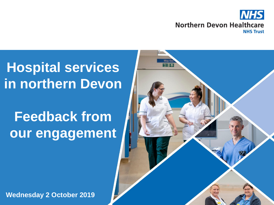

# **Hospital services in northern Devon**

# **Feedback from our engagement**



**Wednesday 2 October 2019**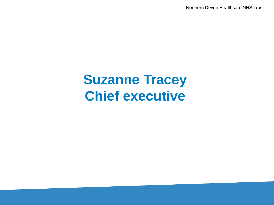Northern Devon Healthcare NHS Trust

# **Suzanne Tracey Chief executive**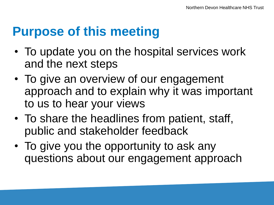#### **Purpose of this meeting**

- To update you on the hospital services work and the next steps
- To give an overview of our engagement approach and to explain why it was important to us to hear your views
- To share the headlines from patient, staff, public and stakeholder feedback
- To give you the opportunity to ask any questions about our engagement approach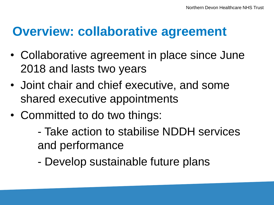#### **Overview: collaborative agreement**

- Collaborative agreement in place since June 2018 and lasts two years
- Joint chair and chief executive, and some shared executive appointments
- Committed to do two things:
	- Take action to stabilise NDDH services and performance
	- Develop sustainable future plans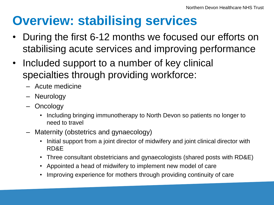# **Overview: stabilising services**

- During the first 6-12 months we focused our efforts on stabilising acute services and improving performance
- Included support to a number of key clinical specialties through providing workforce:
	- Acute medicine
	- Neurology
	- Oncology
		- Including bringing immunotherapy to North Devon so patients no longer to need to travel
	- Maternity (obstetrics and gynaecology)
		- Initial support from a joint director of midwifery and joint clinical director with RD&E
		- Three consultant obstetricians and gynaecologists (shared posts with RD&E)
		- Appointed a head of midwifery to implement new model of care
		- Improving experience for mothers through providing continuity of care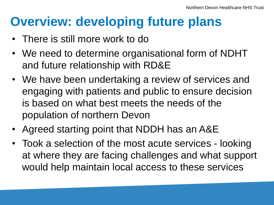- There is still more work to do
- We need to determine organisational form of NDHT and future relationship with RD&E
- We have been undertaking a review of services and engaging with patients and public to ensure decision is based on what best meets the needs of the population of northern Devon
- Agreed starting point that NDDH has an A&E
- Took a selection of the most acute services looking at where they are facing challenges and what support would help maintain local access to these services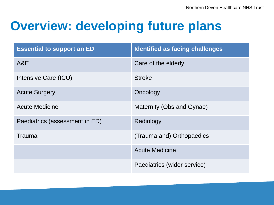| <b>Essential to support an ED</b> | <b>Identified as facing challenges</b> |
|-----------------------------------|----------------------------------------|
| A&E                               | Care of the elderly                    |
| Intensive Care (ICU)              | <b>Stroke</b>                          |
| <b>Acute Surgery</b>              | Oncology                               |
| <b>Acute Medicine</b>             | Maternity (Obs and Gynae)              |
| Paediatrics (assessment in ED)    | Radiology                              |
| <b>Trauma</b>                     | (Trauma and) Orthopaedics              |
|                                   | <b>Acute Medicine</b>                  |
|                                   | Paediatrics (wider service)            |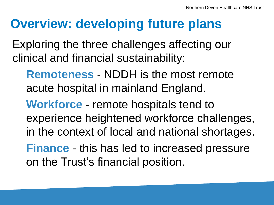Exploring the three challenges affecting our clinical and financial sustainability:

**Remoteness** - NDDH is the most remote acute hospital in mainland England.

**Workforce** - remote hospitals tend to experience heightened workforce challenges, in the context of local and national shortages. **Finance** - this has led to increased pressure on the Trust's financial position.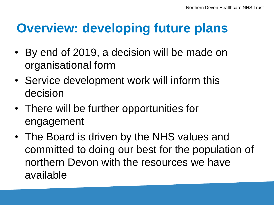- By end of 2019, a decision will be made on organisational form
- Service development work will inform this decision
- There will be further opportunities for engagement
- The Board is driven by the NHS values and committed to doing our best for the population of northern Devon with the resources we have available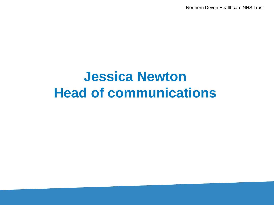Northern Devon Healthcare NHS Trust

# **Jessica Newton Head of communications**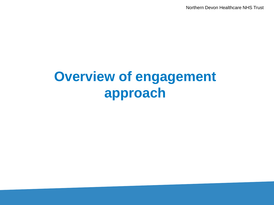Northern Devon Healthcare NHS Trust

# **Overview of engagement approach**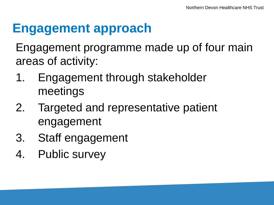## **Engagement approach**

Engagement programme made up of four main areas of activity:

- 1. Engagement through stakeholder meetings
- 2. Targeted and representative patient engagement
- 3. Staff engagement
- 4. Public survey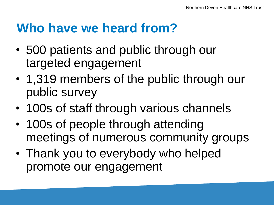## **Who have we heard from?**

- 500 patients and public through our targeted engagement
- 1,319 members of the public through our public survey
- 100s of staff through various channels
- 100s of people through attending meetings of numerous community groups
- Thank you to everybody who helped promote our engagement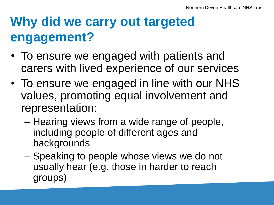# **Why did we carry out targeted engagement?**

- To ensure we engaged with patients and carers with lived experience of our services
- To ensure we engaged in line with our NHS values, promoting equal involvement and representation:
	- Hearing views from a wide range of people, including people of different ages and backgrounds
	- Speaking to people whose views we do not usually hear (e.g. those in harder to reach groups)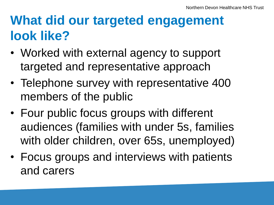# **What did our targeted engagement look like?**

- Worked with external agency to support targeted and representative approach
- Telephone survey with representative 400 members of the public
- Four public focus groups with different audiences (families with under 5s, families with older children, over 65s, unemployed)
- Focus groups and interviews with patients and carers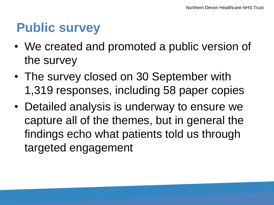# **Public survey**

- We created and promoted a public version of the survey
- The survey closed on 30 September with 1,319 responses, including 58 paper copies
- Detailed analysis is underway to ensure we capture all of the themes, but in general the findings echo what patients told us through targeted engagement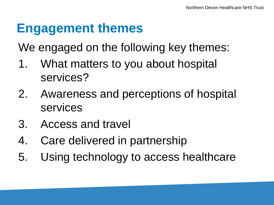# **Engagement themes**

We engaged on the following key themes:

- 1. What matters to you about hospital services?
- 2. Awareness and perceptions of hospital services
- 3. Access and travel
- 4. Care delivered in partnership
- 5. Using technology to access healthcare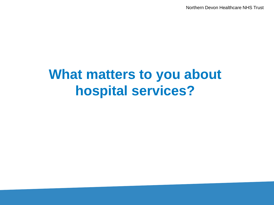Northern Devon Healthcare NHS Trust

# **What matters to you about hospital services?**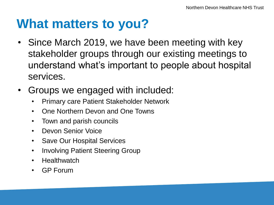#### **What matters to you?**

- Since March 2019, we have been meeting with key stakeholder groups through our existing meetings to understand what's important to people about hospital services.
- Groups we engaged with included:
	- Primary care Patient Stakeholder Network
	- One Northern Devon and One Towns
	- Town and parish councils
	- Devon Senior Voice
	- Save Our Hospital Services
	- Involving Patient Steering Group
	- Healthwatch
	- GP Forum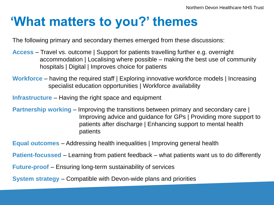# **'What matters to you?' themes**

The following primary and secondary themes emerged from these discussions:

- **Access** Travel vs. outcome | Support for patients travelling further e.g. overnight accommodation | Localising where possible – making the best use of community hospitals | Digital | Improves choice for patients
- **Workforce** having the required staff | Exploring innovative workforce models | Increasing specialist education opportunities | Workforce availability

**Infrastructure** – Having the right space and equipment

**Partnership working** – Improving the transitions between primary and secondary care | Improving advice and guidance for GPs | Providing more support to patients after discharge | Enhancing support to mental health patients

**Equal outcomes** – Addressing health inequalities | Improving general health

**Patient-focussed** – Learning from patient feedback – what patients want us to do differently

**Future-proof** – Ensuring long-term sustainability of services

**System strategy** – Compatible with Devon-wide plans and priorities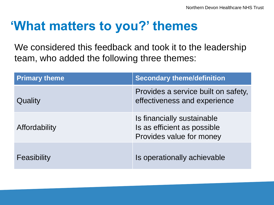# **'What matters to you?' themes**

We considered this feedback and took it to the leadership team, who added the following three themes:

| <b>Primary theme</b> | <b>Secondary theme/definition</b>                                                     |
|----------------------|---------------------------------------------------------------------------------------|
| Quality              | Provides a service built on safety,<br>effectiveness and experience                   |
| Affordability        | Is financially sustainable<br>Is as efficient as possible<br>Provides value for money |
| Feasibility          | Is operationally achievable                                                           |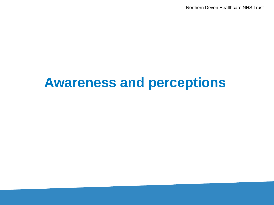Northern Devon Healthcare NHS Trust

# **Awareness and perceptions**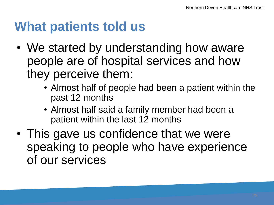- We started by understanding how aware people are of hospital services and how they perceive them:
	- Almost half of people had been a patient within the past 12 months
	- Almost half said a family member had been a patient within the last 12 months
- This gave us confidence that we were speaking to people who have experience of our services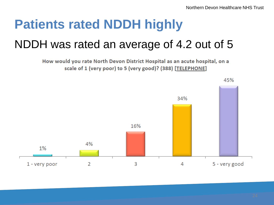# **Patients rated NDDH highly**

#### NDDH was rated an average of 4.2 out of 5

How would you rate North Devon District Hospital as an acute hospital, on a scale of 1 (very poor) to 5 (very good)? (388) [TELEPHONE]

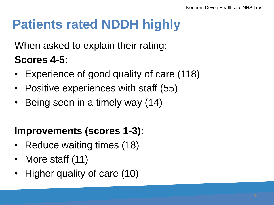# **Patients rated NDDH highly**

When asked to explain their rating:

#### **Scores 4-5:**

- Experience of good quality of care (118)
- Positive experiences with staff (55)
- Being seen in a timely way (14)

#### **Improvements (scores 1-3):**

- Reduce waiting times (18)
- More staff (11)
- Higher quality of care (10)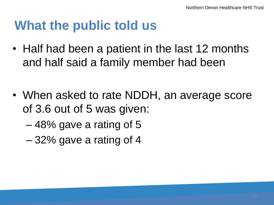## **What the public told us**

- Half had been a patient in the last 12 months and half said a family member had been
- When asked to rate NDDH, an average score of 3.6 out of 5 was given:
	- 48% gave a rating of 5
	- 32% gave a rating of 4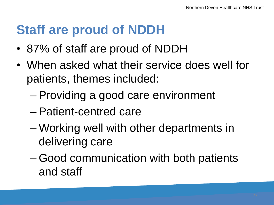# **Staff are proud of NDDH**

- 87% of staff are proud of NDDH
- When asked what their service does well for patients, themes included:
	- Providing a good care environment
	- Patient-centred care
	- Working well with other departments in delivering care
	- Good communication with both patients and staff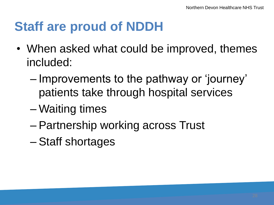# **Staff are proud of NDDH**

- When asked what could be improved, themes included:
	- Improvements to the pathway or 'journey' patients take through hospital services
	- Waiting times
	- Partnership working across Trust
	- Staff shortages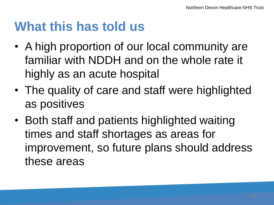### **What this has told us**

- A high proportion of our local community are familiar with NDDH and on the whole rate it highly as an acute hospital
- The quality of care and staff were highlighted as positives
- Both staff and patients highlighted waiting times and staff shortages as areas for improvement, so future plans should address these areas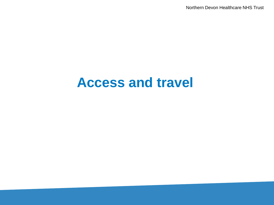Northern Devon Healthcare NHS Trust

#### **Access and travel**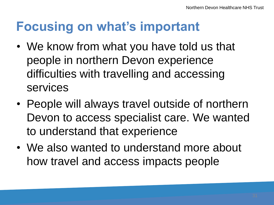# **Focusing on what's important**

- We know from what you have told us that people in northern Devon experience difficulties with travelling and accessing services
- People will always travel outside of northern Devon to access specialist care. We wanted to understand that experience
- We also wanted to understand more about how travel and access impacts people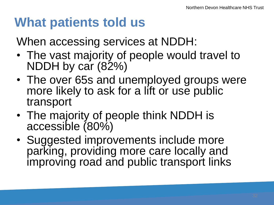When accessing services at NDDH:

- The vast majority of people would travel to NDDH by car (82%)
- The over 65s and unemployed groups were more likely to ask for a lift or use public transport
- The majority of people think NDDH is accessible (80%)
- Suggested improvements include more parking, providing more care locally and improving road and public transport links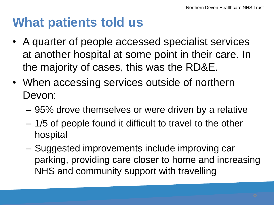- A quarter of people accessed specialist services at another hospital at some point in their care. In the majority of cases, this was the RD&E.
- When accessing services outside of northern Devon:
	- 95% drove themselves or were driven by a relative
	- 1/5 of people found it difficult to travel to the other hospital
	- Suggested improvements include improving car parking, providing care closer to home and increasing NHS and community support with travelling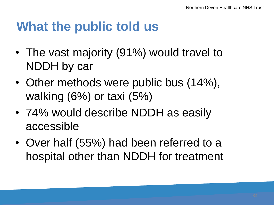#### **What the public told us**

- The vast majority (91%) would travel to NDDH by car
- Other methods were public bus (14%), walking (6%) or taxi (5%)
- 74% would describe NDDH as easily accessible
- Over half (55%) had been referred to a hospital other than NDDH for treatment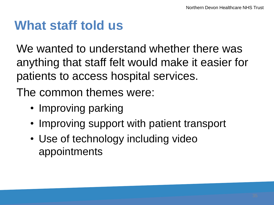## **What staff told us**

We wanted to understand whether there was anything that staff felt would make it easier for patients to access hospital services.

The common themes were:

- Improving parking
- Improving support with patient transport
- Use of technology including video appointments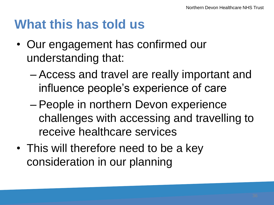### **What this has told us**

- Our engagement has confirmed our understanding that:
	- Access and travel are really important and influence people's experience of care
	- People in northern Devon experience challenges with accessing and travelling to receive healthcare services
- This will therefore need to be a key consideration in our planning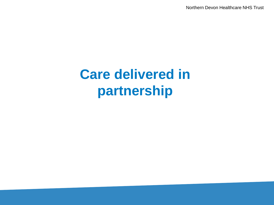Northern Devon Healthcare NHS Trust

# **Care delivered in partnership**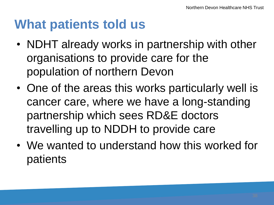- NDHT already works in partnership with other organisations to provide care for the population of northern Devon
- One of the areas this works particularly well is cancer care, where we have a long-standing partnership which sees RD&E doctors travelling up to NDDH to provide care
- We wanted to understand how this worked for patients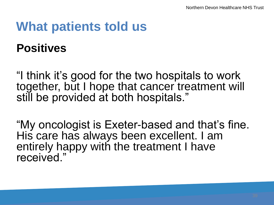**Positives**

"I think it's good for the two hospitals to work together, but I hope that cancer treatment will still be provided at both hospitals."

"My oncologist is Exeter-based and that's fine. His care has always been excellent. I am entirely happy with the treatment I have received."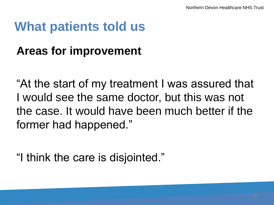#### **Areas for improvement**

"At the start of my treatment I was assured that I would see the same doctor, but this was not the case. It would have been much better if the former had happened."

"I think the care is disjointed."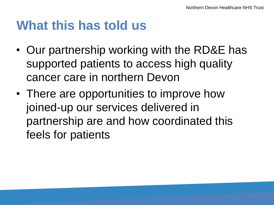### **What this has told us**

- Our partnership working with the RD&E has supported patients to access high quality cancer care in northern Devon
- There are opportunities to improve how joined-up our services delivered in partnership are and how coordinated this feels for patients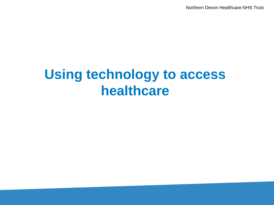Northern Devon Healthcare NHS Trust

# **Using technology to access healthcare**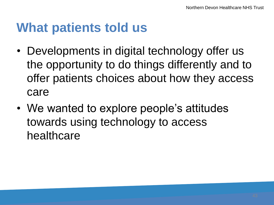- Developments in digital technology offer us the opportunity to do things differently and to offer patients choices about how they access care
- We wanted to explore people's attitudes towards using technology to access healthcare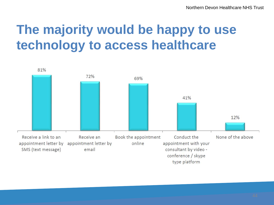# **The majority would be happy to use technology to access healthcare**

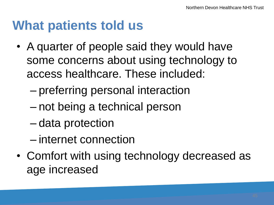- A quarter of people said they would have some concerns about using technology to access healthcare. These included:
	- preferring personal interaction
	- not being a technical person
	- data protection
	- internet connection
- Comfort with using technology decreased as age increased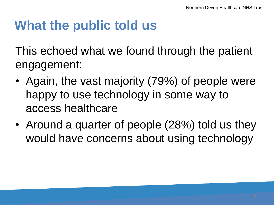# **What the public told us**

This echoed what we found through the patient engagement:

- Again, the vast majority (79%) of people were happy to use technology in some way to access healthcare
- Around a quarter of people (28%) told us they would have concerns about using technology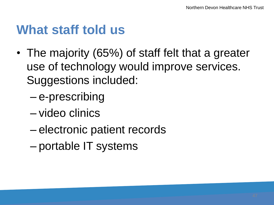#### **What staff told us**

- The majority (65%) of staff felt that a greater use of technology would improve services. Suggestions included:
	- e-prescribing
	- video clinics
	- electronic patient records
	- portable IT systems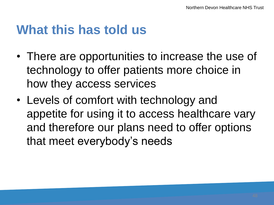#### **What this has told us**

- There are opportunities to increase the use of technology to offer patients more choice in how they access services
- Levels of comfort with technology and appetite for using it to access healthcare vary and therefore our plans need to offer options that meet everybody's needs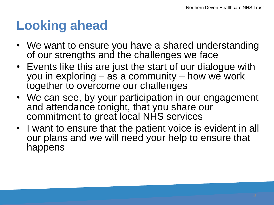## **Looking ahead**

- We want to ensure you have a shared understanding of our strengths and the challenges we face
- Events like this are just the start of our dialogue with you in exploring – as a community – how we work together to overcome our challenges
- We can see, by your participation in our engagement and attendance tonight, that you share our commitment to great local NHS services
- I want to ensure that the patient voice is evident in all our plans and we will need your help to ensure that happens